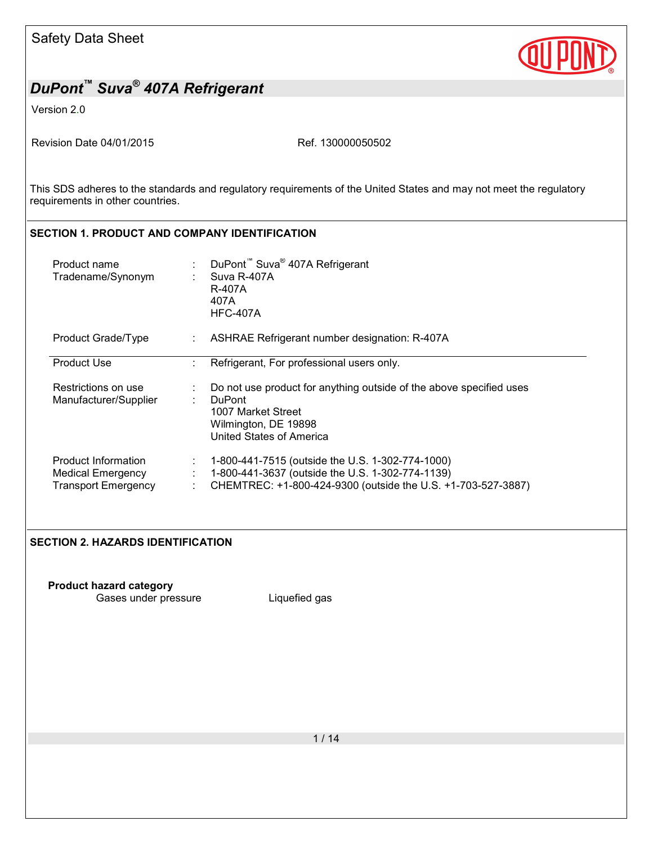

Version 2.0

Revision Date 04/01/2015 Ref. 130000050502

This SDS adheres to the standards and regulatory requirements of the United States and may not meet the regulatory requirements in other countries.

# **SECTION 1. PRODUCT AND COMPANY IDENTIFICATION**

| Product name<br>Tradename/Synonym                                             |                                  | DuPont <sup>™</sup> Suva <sup>®</sup> 407A Refrigerant<br>Suva R-407A<br>R-407A<br>407A<br><b>HFC-407A</b>                                                           |
|-------------------------------------------------------------------------------|----------------------------------|----------------------------------------------------------------------------------------------------------------------------------------------------------------------|
| Product Grade/Type                                                            |                                  | ASHRAE Refrigerant number designation: R-407A                                                                                                                        |
| <b>Product Use</b>                                                            |                                  | Refrigerant, For professional users only.                                                                                                                            |
| Restrictions on use<br>Manufacturer/Supplier                                  |                                  | Do not use product for anything outside of the above specified uses<br><b>DuPont</b><br>1007 Market Street<br>Wilmington, DE 19898<br>United States of America       |
| Product Information<br><b>Medical Emergency</b><br><b>Transport Emergency</b> | $\mathcal{L}_{\mathcal{A}}$<br>÷ | 1-800-441-7515 (outside the U.S. 1-302-774-1000)<br>1-800-441-3637 (outside the U.S. 1-302-774-1139)<br>CHEMTREC: +1-800-424-9300 (outside the U.S. +1-703-527-3887) |

### **SECTION 2. HAZARDS IDENTIFICATION**

**Product hazard category** Gases under pressure Liquefied gas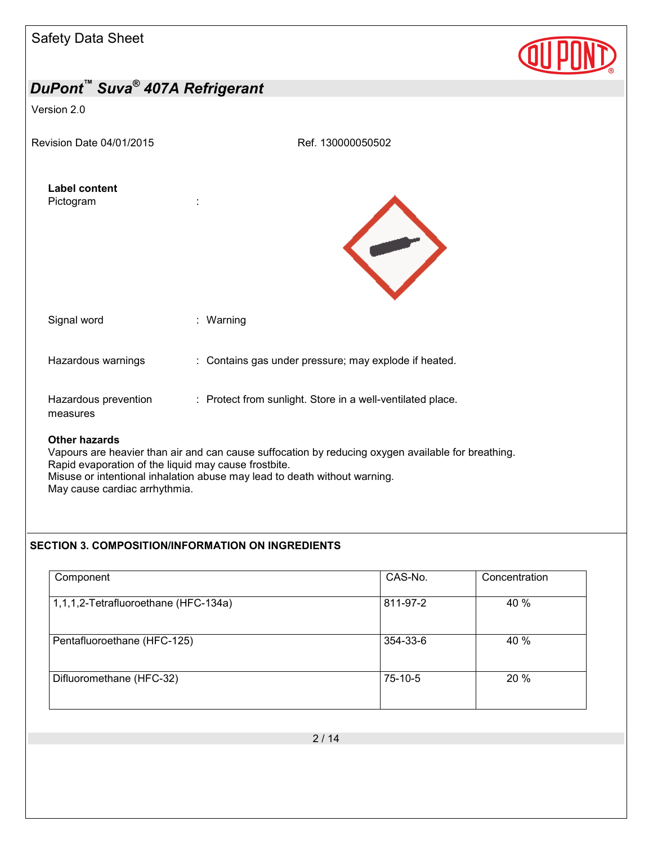| <b>Safety Data Sheet</b>          |                   |
|-----------------------------------|-------------------|
| DuPont™ Suva® 407A Refrigerant    |                   |
| Version 2.0                       |                   |
| Revision Date 04/01/2015          | Ref. 130000050502 |
| <b>Label content</b><br>Pictogram |                   |
|                                   |                   |
|                                   |                   |



Rapid evaporation of the liquid may cause frostbite. Misuse or intentional inhalation abuse may lead to death without warning. May cause cardiac arrhythmia.

### **SECTION 3. COMPOSITION/INFORMATION ON INGREDIENTS**

| Component                            | CAS-No.  | Concentration |
|--------------------------------------|----------|---------------|
| 1,1,1,2-Tetrafluoroethane (HFC-134a) | 811-97-2 | 40 %          |
| Pentafluoroethane (HFC-125)          | 354-33-6 | 40 %          |
| Difluoromethane (HFC-32)             | 75-10-5  | 20 %          |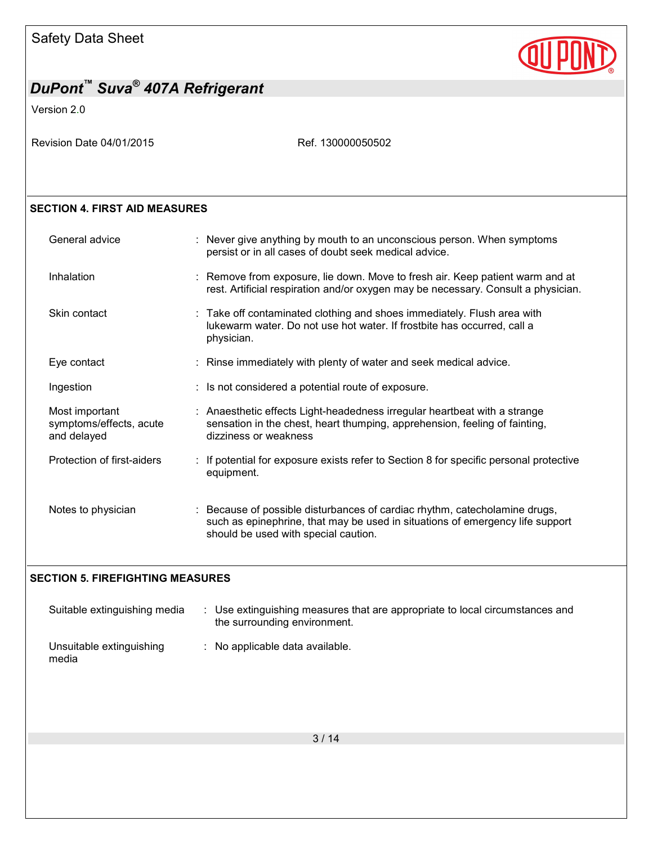

Version 2.0

Revision Date 04/01/2015 Ref. 130000050502

### **SECTION 4. FIRST AID MEASURES**

| General advice                                           | : Never give anything by mouth to an unconscious person. When symptoms<br>persist or in all cases of doubt seek medical advice.                                                                     |  |
|----------------------------------------------------------|-----------------------------------------------------------------------------------------------------------------------------------------------------------------------------------------------------|--|
| Inhalation                                               | : Remove from exposure, lie down. Move to fresh air. Keep patient warm and at<br>rest. Artificial respiration and/or oxygen may be necessary. Consult a physician.                                  |  |
| Skin contact                                             | : Take off contaminated clothing and shoes immediately. Flush area with<br>lukewarm water. Do not use hot water. If frostbite has occurred, call a<br>physician.                                    |  |
| Eye contact                                              | : Rinse immediately with plenty of water and seek medical advice.                                                                                                                                   |  |
| Ingestion                                                | : Is not considered a potential route of exposure.                                                                                                                                                  |  |
| Most important<br>symptoms/effects, acute<br>and delayed | : Anaesthetic effects Light-headedness irregular heartbeat with a strange<br>sensation in the chest, heart thumping, apprehension, feeling of fainting,<br>dizziness or weakness                    |  |
| Protection of first-aiders                               | : If potential for exposure exists refer to Section 8 for specific personal protective<br>equipment.                                                                                                |  |
| Notes to physician                                       | : Because of possible disturbances of cardiac rhythm, catecholamine drugs,<br>such as epinephrine, that may be used in situations of emergency life support<br>should be used with special caution. |  |

### **SECTION 5. FIREFIGHTING MEASURES**

| Suitable extinguishing media      | : Use extinguishing measures that are appropriate to local circumstances and<br>the surrounding environment. |  |
|-----------------------------------|--------------------------------------------------------------------------------------------------------------|--|
| Unsuitable extinguishing<br>media | $\therefore$ No applicable data available.                                                                   |  |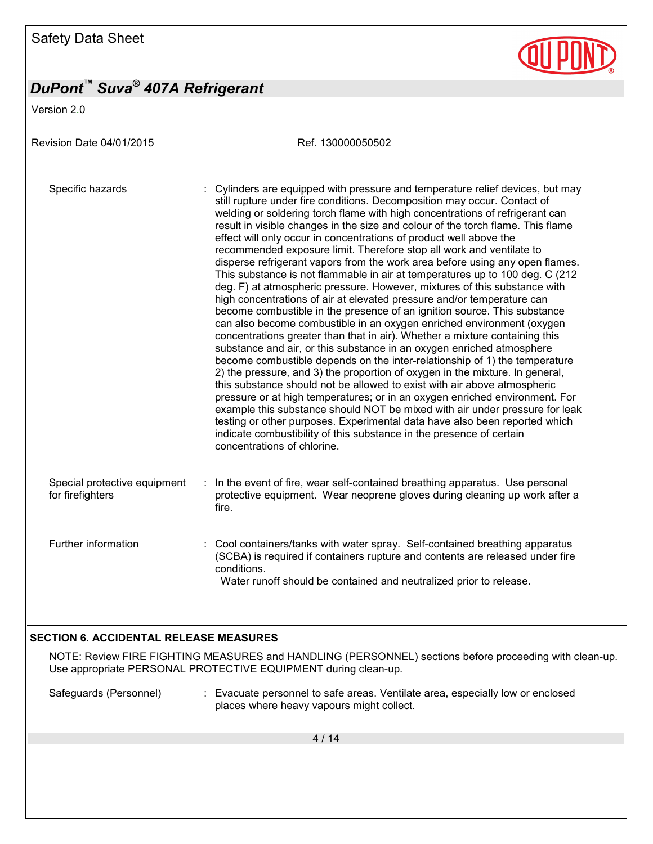Version 2.0

Revision Date 04/01/2015 Ref. 130000050502 Specific hazards : Cylinders are equipped with pressure and temperature relief devices, but may still rupture under fire conditions. Decomposition may occur. Contact of welding or soldering torch flame with high concentrations of refrigerant can result in visible changes in the size and colour of the torch flame. This flame effect will only occur in concentrations of product well above the recommended exposure limit. Therefore stop all work and ventilate to disperse refrigerant vapors from the work area before using any open flames. This substance is not flammable in air at temperatures up to 100 deg. C (212 deg. F) at atmospheric pressure. However, mixtures of this substance with high concentrations of air at elevated pressure and/or temperature can become combustible in the presence of an ignition source. This substance can also become combustible in an oxygen enriched environment (oxygen concentrations greater than that in air). Whether a mixture containing this substance and air, or this substance in an oxygen enriched atmosphere become combustible depends on the inter-relationship of 1) the temperature 2) the pressure, and 3) the proportion of oxygen in the mixture. In general, this substance should not be allowed to exist with air above atmospheric pressure or at high temperatures; or in an oxygen enriched environment. For example this substance should NOT be mixed with air under pressure for leak testing or other purposes. Experimental data have also been reported which indicate combustibility of this substance in the presence of certain concentrations of chlorine. Special protective equipment for firefighters : In the event of fire, wear self-contained breathing apparatus. Use personal protective equipment. Wear neoprene gloves during cleaning up work after a fire. Further information : Cool containers/tanks with water spray. Self-contained breathing apparatus (SCBA) is required if containers rupture and contents are released under fire conditions. Water runoff should be contained and neutralized prior to release. **SECTION 6. ACCIDENTAL RELEASE MEASURES** 

### NOTE: Review FIRE FIGHTING MEASURES and HANDLING (PERSONNEL) sections before proceeding with clean-up. Use appropriate PERSONAL PROTECTIVE EQUIPMENT during clean-up.

Safeguards (Personnel) : Evacuate personnel to safe areas. Ventilate area, especially low or enclosed places where heavy vapours might collect.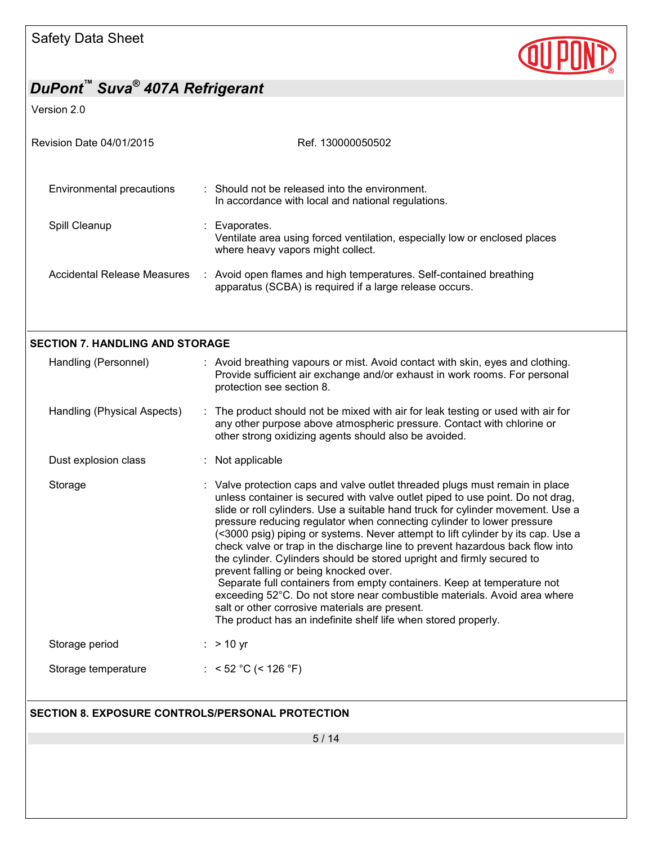

Version 2.0

| Revision Date 04/01/2015                                       | Ref. 130000050502                                                                                                                                                                                                                                                                                                                                                                                                                                                                                                                                                                                                                                                                                                                                                                                                                                                                                |
|----------------------------------------------------------------|--------------------------------------------------------------------------------------------------------------------------------------------------------------------------------------------------------------------------------------------------------------------------------------------------------------------------------------------------------------------------------------------------------------------------------------------------------------------------------------------------------------------------------------------------------------------------------------------------------------------------------------------------------------------------------------------------------------------------------------------------------------------------------------------------------------------------------------------------------------------------------------------------|
| <b>Environmental precautions</b>                               | : Should not be released into the environment.<br>In accordance with local and national regulations.                                                                                                                                                                                                                                                                                                                                                                                                                                                                                                                                                                                                                                                                                                                                                                                             |
| Spill Cleanup                                                  | : Evaporates.<br>Ventilate area using forced ventilation, especially low or enclosed places<br>where heavy vapors might collect.                                                                                                                                                                                                                                                                                                                                                                                                                                                                                                                                                                                                                                                                                                                                                                 |
| <b>Accidental Release Measures</b>                             | : Avoid open flames and high temperatures. Self-contained breathing<br>apparatus (SCBA) is required if a large release occurs.                                                                                                                                                                                                                                                                                                                                                                                                                                                                                                                                                                                                                                                                                                                                                                   |
|                                                                |                                                                                                                                                                                                                                                                                                                                                                                                                                                                                                                                                                                                                                                                                                                                                                                                                                                                                                  |
| <b>SECTION 7. HANDLING AND STORAGE</b><br>Handling (Personnel) | : Avoid breathing vapours or mist. Avoid contact with skin, eyes and clothing.<br>Provide sufficient air exchange and/or exhaust in work rooms. For personal<br>protection see section 8.                                                                                                                                                                                                                                                                                                                                                                                                                                                                                                                                                                                                                                                                                                        |
| Handling (Physical Aspects)                                    | : The product should not be mixed with air for leak testing or used with air for<br>any other purpose above atmospheric pressure. Contact with chlorine or<br>other strong oxidizing agents should also be avoided.                                                                                                                                                                                                                                                                                                                                                                                                                                                                                                                                                                                                                                                                              |
| Dust explosion class                                           | : Not applicable                                                                                                                                                                                                                                                                                                                                                                                                                                                                                                                                                                                                                                                                                                                                                                                                                                                                                 |
| Storage                                                        | : Valve protection caps and valve outlet threaded plugs must remain in place<br>unless container is secured with valve outlet piped to use point. Do not drag,<br>slide or roll cylinders. Use a suitable hand truck for cylinder movement. Use a<br>pressure reducing regulator when connecting cylinder to lower pressure<br>(<3000 psig) piping or systems. Never attempt to lift cylinder by its cap. Use a<br>check valve or trap in the discharge line to prevent hazardous back flow into<br>the cylinder. Cylinders should be stored upright and firmly secured to<br>prevent falling or being knocked over.<br>Separate full containers from empty containers. Keep at temperature not<br>exceeding 52°C. Do not store near combustible materials. Avoid area where<br>salt or other corrosive materials are present.<br>The product has an indefinite shelf life when stored properly. |
| Storage period                                                 | $:$ > 10 yr                                                                                                                                                                                                                                                                                                                                                                                                                                                                                                                                                                                                                                                                                                                                                                                                                                                                                      |
| Storage temperature                                            | : < 52 °C (< 126 °F)                                                                                                                                                                                                                                                                                                                                                                                                                                                                                                                                                                                                                                                                                                                                                                                                                                                                             |
| SECTION 8. EXPOSURE CONTROLS/PERSONAL PROTECTION               |                                                                                                                                                                                                                                                                                                                                                                                                                                                                                                                                                                                                                                                                                                                                                                                                                                                                                                  |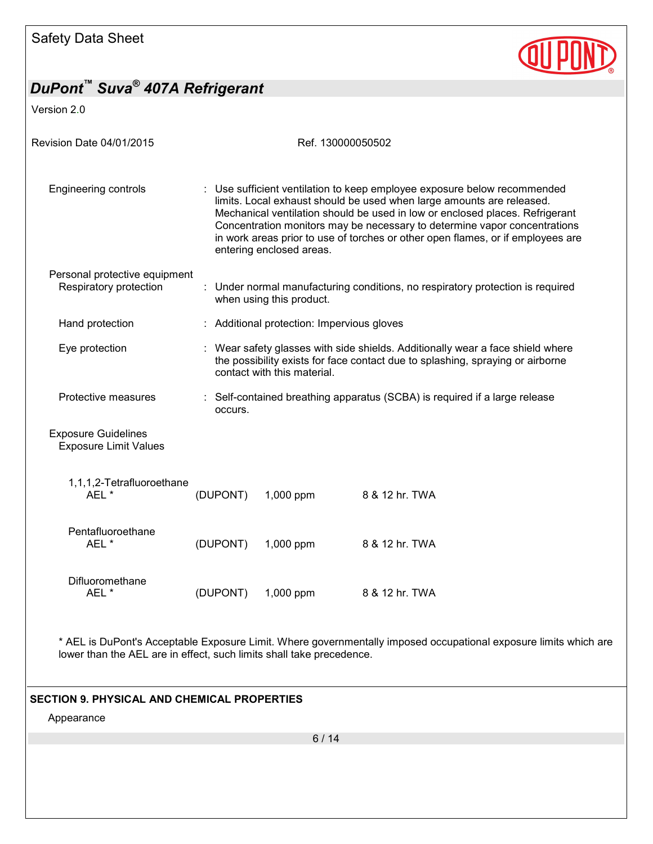

Version 2.0

| Revision Date 04/01/2015                                   |                                                                                                                                                                                                                                                                                                                                                                                                                               |                                            | Ref. 130000050502                                                              |  |  |
|------------------------------------------------------------|-------------------------------------------------------------------------------------------------------------------------------------------------------------------------------------------------------------------------------------------------------------------------------------------------------------------------------------------------------------------------------------------------------------------------------|--------------------------------------------|--------------------------------------------------------------------------------|--|--|
| <b>Engineering controls</b>                                | : Use sufficient ventilation to keep employee exposure below recommended<br>limits. Local exhaust should be used when large amounts are released.<br>Mechanical ventilation should be used in low or enclosed places. Refrigerant<br>Concentration monitors may be necessary to determine vapor concentrations<br>in work areas prior to use of torches or other open flames, or if employees are<br>entering enclosed areas. |                                            |                                                                                |  |  |
| Personal protective equipment<br>Respiratory protection    |                                                                                                                                                                                                                                                                                                                                                                                                                               | when using this product.                   | : Under normal manufacturing conditions, no respiratory protection is required |  |  |
| Hand protection                                            |                                                                                                                                                                                                                                                                                                                                                                                                                               | : Additional protection: Impervious gloves |                                                                                |  |  |
| Eye protection                                             | : Wear safety glasses with side shields. Additionally wear a face shield where<br>the possibility exists for face contact due to splashing, spraying or airborne<br>contact with this material.                                                                                                                                                                                                                               |                                            |                                                                                |  |  |
| Protective measures                                        | occurs.                                                                                                                                                                                                                                                                                                                                                                                                                       |                                            | : Self-contained breathing apparatus (SCBA) is required if a large release     |  |  |
| <b>Exposure Guidelines</b><br><b>Exposure Limit Values</b> |                                                                                                                                                                                                                                                                                                                                                                                                                               |                                            |                                                                                |  |  |
| 1,1,1,2-Tetrafluoroethane<br>AEL *                         | (DUPONT)                                                                                                                                                                                                                                                                                                                                                                                                                      | 1,000 ppm                                  | 8 & 12 hr. TWA                                                                 |  |  |
| Pentafluoroethane<br>AEL*                                  | (DUPONT)                                                                                                                                                                                                                                                                                                                                                                                                                      | 1,000 ppm                                  | 8 & 12 hr. TWA                                                                 |  |  |
| Difluoromethane<br>AEL*                                    | (DUPONT)                                                                                                                                                                                                                                                                                                                                                                                                                      | 1,000 ppm                                  | 8 & 12 hr. TWA                                                                 |  |  |

### **SECTION 9. PHYSICAL AND CHEMICAL PROPERTIES**

Appearance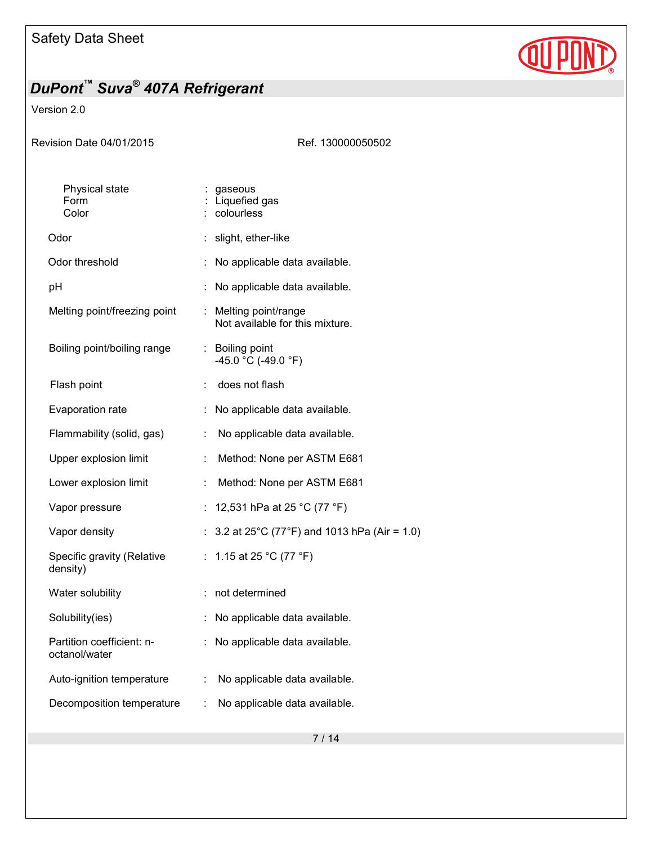

### Version 2.0

Ref. 130000050502

| Physical state<br>Form<br>Color            |                             | : gaseous<br>Liquefied gas<br>colourless                          |
|--------------------------------------------|-----------------------------|-------------------------------------------------------------------|
| Odor                                       |                             | : slight, ether-like                                              |
| Odor threshold                             |                             | No applicable data available.                                     |
| рH                                         | ÷                           | No applicable data available.                                     |
| Melting point/freezing point               | t.                          | Melting point/range<br>Not available for this mixture.            |
| Boiling point/boiling range                |                             | : Boiling point<br>-45.0 °C (-49.0 °F)                            |
| Flash point                                |                             | does not flash                                                    |
| Evaporation rate                           | t.                          | No applicable data available.                                     |
| Flammability (solid, gas)                  | ÷,                          | No applicable data available.                                     |
| Upper explosion limit                      | ÷                           | Method: None per ASTM E681                                        |
| Lower explosion limit                      | ÷,                          | Method: None per ASTM E681                                        |
| Vapor pressure                             | ÷                           | 12,531 hPa at 25 °C (77 °F)                                       |
| Vapor density                              | ÷.                          | 3.2 at 25 $^{\circ}$ C (77 $^{\circ}$ F) and 1013 hPa (Air = 1.0) |
| Specific gravity (Relative<br>density)     | $\mathcal{L}_{\mathcal{A}}$ | 1.15 at 25 °C (77 °F)                                             |
| Water solubility                           | ÷                           | not determined                                                    |
| Solubility(ies)                            | ÷                           | No applicable data available.                                     |
| Partition coefficient: n-<br>octanol/water |                             | No applicable data available.                                     |
| Auto-ignition temperature                  | ÷.                          | No applicable data available.                                     |
| Decomposition temperature                  | t.                          | No applicable data available.                                     |
|                                            |                             |                                                                   |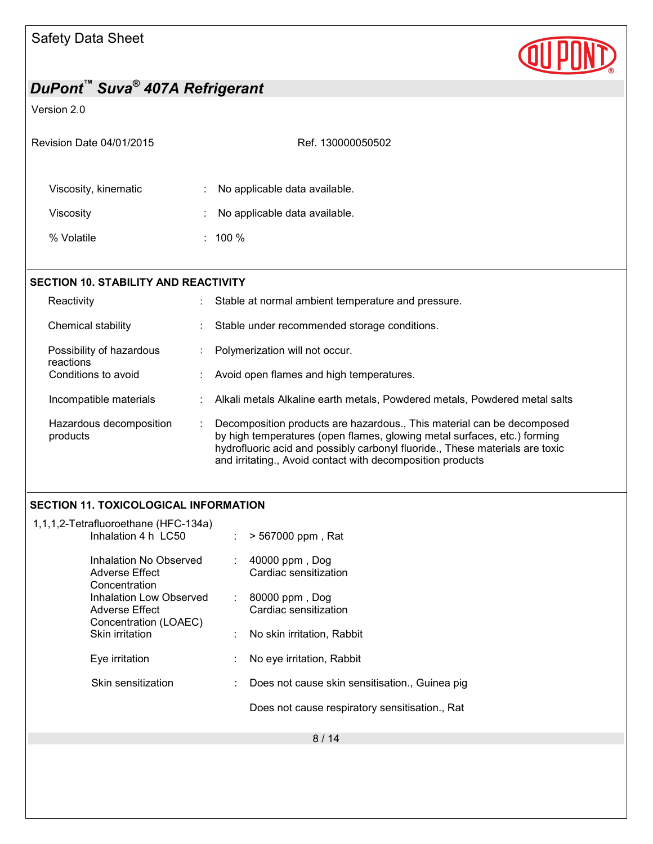

### Version 2.0

| Revision Date 04/01/2015                    | Ref. 130000050502                                 |                                                    |  |  |  |
|---------------------------------------------|---------------------------------------------------|----------------------------------------------------|--|--|--|
| Viscosity, kinematic                        |                                                   | No applicable data available.                      |  |  |  |
| Viscosity                                   |                                                   | No applicable data available.                      |  |  |  |
| % Volatile                                  |                                                   | $: 100 \%$                                         |  |  |  |
|                                             |                                                   |                                                    |  |  |  |
| <b>SECTION 10. STABILITY AND REACTIVITY</b> |                                                   |                                                    |  |  |  |
| Reactivity                                  | $\ddot{\phantom{1}}$                              | Stable at normal ambient temperature and pressure. |  |  |  |
| Chemical stability                          | Stable under recommended storage conditions.<br>÷ |                                                    |  |  |  |

| Possibility of hazardous | Polymerization will not occur. |
|--------------------------|--------------------------------|
|--------------------------|--------------------------------|

- reactions<br>Conditions to avoid : Avoid open flames and high temperatures.
- Incompatible materials : Alkali metals Alkaline earth metals, Powdered metals, Powdered metal salts
- Hazardous decomposition products : Decomposition products are hazardous., This material can be decomposed by high temperatures (open flames, glowing metal surfaces, etc.) forming hydrofluoric acid and possibly carbonyl fluoride., These materials are toxic and irritating., Avoid contact with decomposition products

### **SECTION 11. TOXICOLOGICAL INFORMATION**

| 1,1,1,2-Tetrafluoroethane (HFC-134a)<br>Inhalation 4 h LC50        | $\mathcal{L}^{\mathcal{L}}$ | > 567000 ppm, Rat                              |
|--------------------------------------------------------------------|-----------------------------|------------------------------------------------|
| Inhalation No Observed<br>Adverse Effect<br>Concentration          |                             | 40000 ppm, Dog<br>Cardiac sensitization        |
| Inhalation Low Observed<br>Adverse Effect<br>Concentration (LOAEC) | $\mathcal{L}^{\mathcal{L}}$ | 80000 ppm, Dog<br>Cardiac sensitization        |
| <b>Skin irritation</b>                                             |                             | No skin irritation, Rabbit                     |
| Eye irritation                                                     |                             | No eye irritation, Rabbit                      |
| Skin sensitization                                                 |                             | Does not cause skin sensitisation., Guinea pig |
|                                                                    |                             | Does not cause respiratory sensitisation., Rat |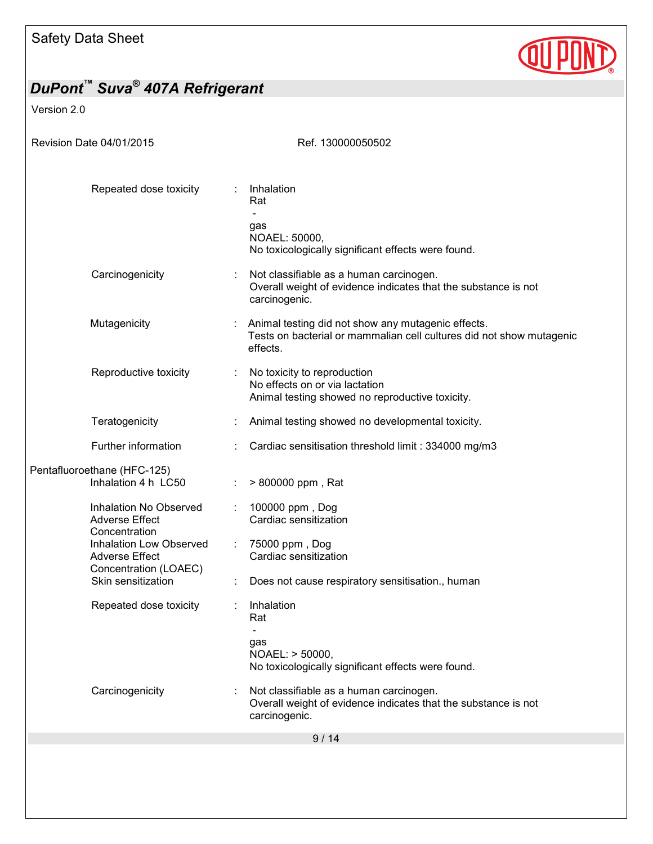

Version 2.0

| Revision Date 04/01/2015                                                  | Ref. 130000050502                                                                                                                      |
|---------------------------------------------------------------------------|----------------------------------------------------------------------------------------------------------------------------------------|
| Repeated dose toxicity                                                    | Inhalation<br>Rat                                                                                                                      |
|                                                                           | gas<br>NOAEL: 50000,<br>No toxicologically significant effects were found.                                                             |
| Carcinogenicity                                                           | Not classifiable as a human carcinogen.<br>Overall weight of evidence indicates that the substance is not<br>carcinogenic.             |
| Mutagenicity                                                              | Animal testing did not show any mutagenic effects.<br>Tests on bacterial or mammalian cell cultures did not show mutagenic<br>effects. |
| Reproductive toxicity                                                     | No toxicity to reproduction<br>No effects on or via lactation<br>Animal testing showed no reproductive toxicity.                       |
| Teratogenicity                                                            | Animal testing showed no developmental toxicity.                                                                                       |
| Further information                                                       | Cardiac sensitisation threshold limit: 334000 mg/m3                                                                                    |
| Pentafluoroethane (HFC-125)<br>Inhalation 4 h LC50                        | > 800000 ppm, Rat                                                                                                                      |
| Inhalation No Observed<br><b>Adverse Effect</b><br>Concentration          | 100000 ppm, Dog<br>Cardiac sensitization                                                                                               |
| Inhalation Low Observed<br><b>Adverse Effect</b><br>Concentration (LOAEC) | 75000 ppm, Dog<br>Cardiac sensitization                                                                                                |
| Skin sensitization                                                        | Does not cause respiratory sensitisation., human                                                                                       |
| Repeated dose toxicity                                                    | Inhalation<br>Rat                                                                                                                      |
|                                                                           | gas<br>NOAEL: > 50000,<br>No toxicologically significant effects were found.                                                           |
| Carcinogenicity                                                           | Not classifiable as a human carcinogen.<br>Overall weight of evidence indicates that the substance is not<br>carcinogenic.             |
|                                                                           | 9/14                                                                                                                                   |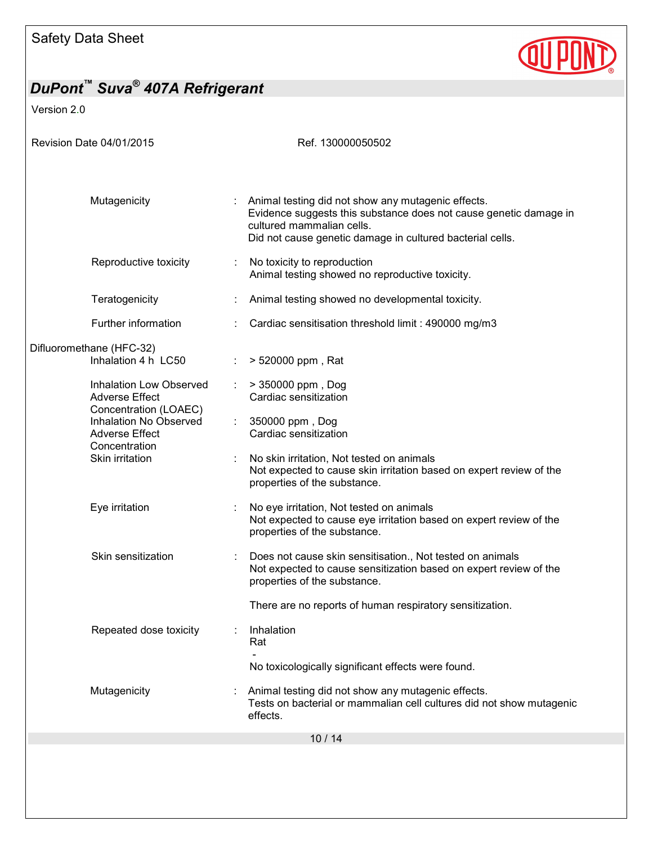

Version 2.0

| Revision Date 04/01/2015                                                                            | Ref. 130000050502                                                                                                                                                                                                   |
|-----------------------------------------------------------------------------------------------------|---------------------------------------------------------------------------------------------------------------------------------------------------------------------------------------------------------------------|
|                                                                                                     |                                                                                                                                                                                                                     |
| Mutagenicity                                                                                        | : Animal testing did not show any mutagenic effects.<br>Evidence suggests this substance does not cause genetic damage in<br>cultured mammalian cells.<br>Did not cause genetic damage in cultured bacterial cells. |
| Reproductive toxicity                                                                               | No toxicity to reproduction<br>Animal testing showed no reproductive toxicity.                                                                                                                                      |
| Teratogenicity                                                                                      | Animal testing showed no developmental toxicity.                                                                                                                                                                    |
| Further information                                                                                 | Cardiac sensitisation threshold limit : 490000 mg/m3                                                                                                                                                                |
| Difluoromethane (HFC-32)<br>Inhalation 4 h LC50                                                     | > 520000 ppm, Rat                                                                                                                                                                                                   |
| Inhalation Low Observed<br><b>Adverse Effect</b><br>Concentration (LOAEC)<br>Inhalation No Observed | > 350000 ppm, Dog<br>Cardiac sensitization<br>$\mathcal{L}^{\mathcal{L}}$<br>350000 ppm, Dog                                                                                                                        |
| <b>Adverse Effect</b><br>Concentration                                                              | Cardiac sensitization                                                                                                                                                                                               |
| Skin irritation                                                                                     | No skin irritation, Not tested on animals<br>Not expected to cause skin irritation based on expert review of the<br>properties of the substance.                                                                    |
| Eye irritation                                                                                      | No eye irritation, Not tested on animals<br>Not expected to cause eye irritation based on expert review of the<br>properties of the substance.                                                                      |
| Skin sensitization                                                                                  | Does not cause skin sensitisation., Not tested on animals<br>Not expected to cause sensitization based on expert review of the<br>properties of the substance.                                                      |
|                                                                                                     | There are no reports of human respiratory sensitization.                                                                                                                                                            |
| Repeated dose toxicity                                                                              | Inhalation<br>Rat                                                                                                                                                                                                   |
|                                                                                                     | No toxicologically significant effects were found.                                                                                                                                                                  |
| Mutagenicity                                                                                        | Animal testing did not show any mutagenic effects.<br>Tests on bacterial or mammalian cell cultures did not show mutagenic<br>effects.                                                                              |
|                                                                                                     | 10/14                                                                                                                                                                                                               |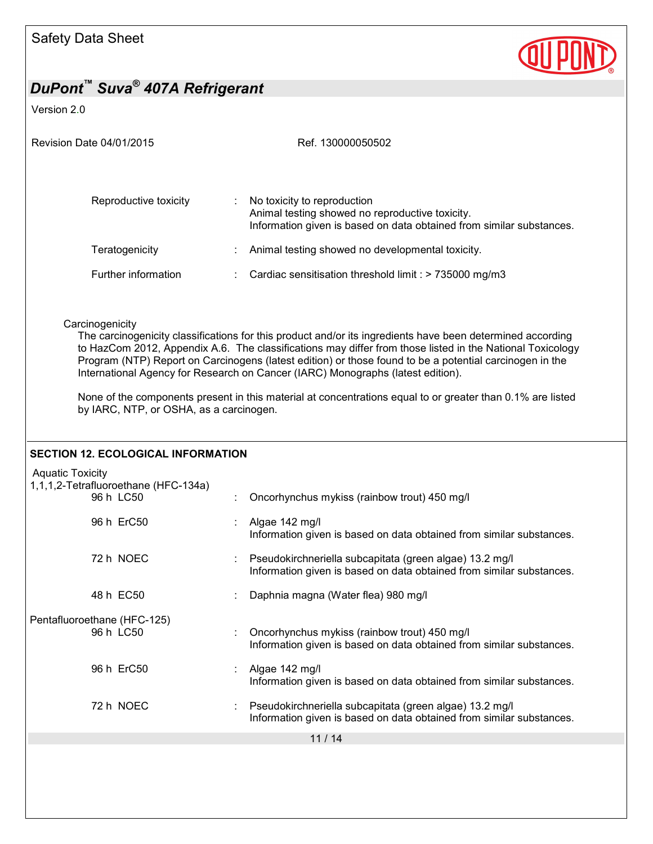

# *DuPont™ Suva® 407A Refrigerant*  Version 2.0 Revision Date 04/01/2015 Revision Date 04/01/2015 11 / 14 Reproductive toxicity : No toxicity to reproduction Animal testing showed no reproductive toxicity. Information given is based on data obtained from similar substances. Teratogenicity : Animal testing showed no developmental toxicity. Further information : Cardiac sensitisation threshold limit : > 735000 mg/m3 **Carcinogenicity** The carcinogenicity classifications for this product and/or its ingredients have been determined according to HazCom 2012, Appendix A.6. The classifications may differ from those listed in the National Toxicology Program (NTP) Report on Carcinogens (latest edition) or those found to be a potential carcinogen in the International Agency for Research on Cancer (IARC) Monographs (latest edition). None of the components present in this material at concentrations equal to or greater than 0.1% are listed by IARC, NTP, or OSHA, as a carcinogen. **SECTION 12. ECOLOGICAL INFORMATION**  Aquatic Toxicity 1,1,1,2-Tetrafluoroethane (HFC-134a) 96 h LC50 : Oncorhynchus mykiss (rainbow trout) 450 mg/l 96 h ErC50 : Algae 142 mg/l Information given is based on data obtained from similar substances. 72 h NOEC : Pseudokirchneriella subcapitata (green algae) 13.2 mg/l Information given is based on data obtained from similar substances. 48 h EC50 : Daphnia magna (Water flea) 980 mg/l Pentafluoroethane (HFC-125) : Oncorhynchus mykiss (rainbow trout) 450 mg/l Information given is based on data obtained from similar substances. 96 h ErC50 : Algae 142 mg/l Information given is based on data obtained from similar substances. 72 h NOEC : Pseudokirchneriella subcapitata (green algae) 13.2 mg/l Information given is based on data obtained from similar substances.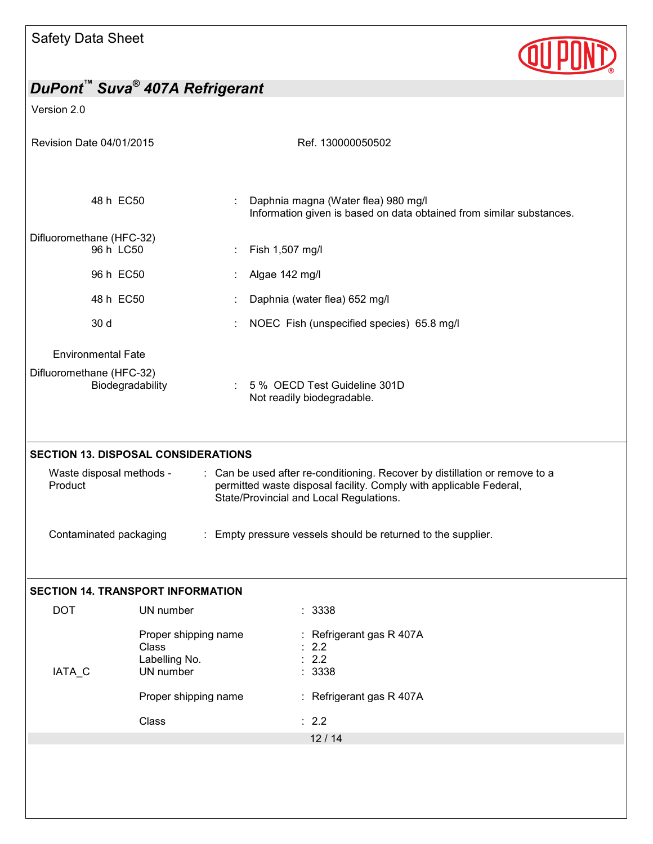

Version 2.0

| Revision Date 04/01/2015                                                                                                                                                                                                                                                                                                                                                    |                                                                          | Ref. 130000050502                                                                                           |  |  |
|-----------------------------------------------------------------------------------------------------------------------------------------------------------------------------------------------------------------------------------------------------------------------------------------------------------------------------------------------------------------------------|--------------------------------------------------------------------------|-------------------------------------------------------------------------------------------------------------|--|--|
| 48 h EC50                                                                                                                                                                                                                                                                                                                                                                   |                                                                          | Daphnia magna (Water flea) 980 mg/l<br>Information given is based on data obtained from similar substances. |  |  |
| Difluoromethane (HFC-32)<br>96 h LC50                                                                                                                                                                                                                                                                                                                                       |                                                                          | Fish 1,507 mg/l                                                                                             |  |  |
| 96 h EC50                                                                                                                                                                                                                                                                                                                                                                   |                                                                          | Algae 142 mg/l                                                                                              |  |  |
| 48 h EC50                                                                                                                                                                                                                                                                                                                                                                   |                                                                          | Daphnia (water flea) 652 mg/l                                                                               |  |  |
| 30 d                                                                                                                                                                                                                                                                                                                                                                        |                                                                          | NOEC Fish (unspecified species) 65.8 mg/l                                                                   |  |  |
| <b>Environmental Fate</b>                                                                                                                                                                                                                                                                                                                                                   |                                                                          |                                                                                                             |  |  |
| Difluoromethane (HFC-32)<br>Biodegradability<br>÷                                                                                                                                                                                                                                                                                                                           |                                                                          | 5 % OECD Test Guideline 301D<br>Not readily biodegradable.                                                  |  |  |
| <b>SECTION 13. DISPOSAL CONSIDERATIONS</b><br>Waste disposal methods -<br>: Can be used after re-conditioning. Recover by distillation or remove to a<br>Product<br>permitted waste disposal facility. Comply with applicable Federal,<br>State/Provincial and Local Regulations.<br>Contaminated packaging<br>: Empty pressure vessels should be returned to the supplier. |                                                                          |                                                                                                             |  |  |
|                                                                                                                                                                                                                                                                                                                                                                             | <b>SECTION 14. TRANSPORT INFORMATION</b>                                 |                                                                                                             |  |  |
| <b>DOT</b><br>IATA_C                                                                                                                                                                                                                                                                                                                                                        | UN number<br>Proper shipping name<br>Class<br>Labelling No.<br>UN number | : 3338<br>Refrigerant gas R 407A<br>2.2<br>2.2<br>3338                                                      |  |  |
|                                                                                                                                                                                                                                                                                                                                                                             | Proper shipping name                                                     | : Refrigerant gas R 407A                                                                                    |  |  |
|                                                                                                                                                                                                                                                                                                                                                                             | Class                                                                    | : 2.2                                                                                                       |  |  |
|                                                                                                                                                                                                                                                                                                                                                                             |                                                                          | 12/14                                                                                                       |  |  |
|                                                                                                                                                                                                                                                                                                                                                                             |                                                                          |                                                                                                             |  |  |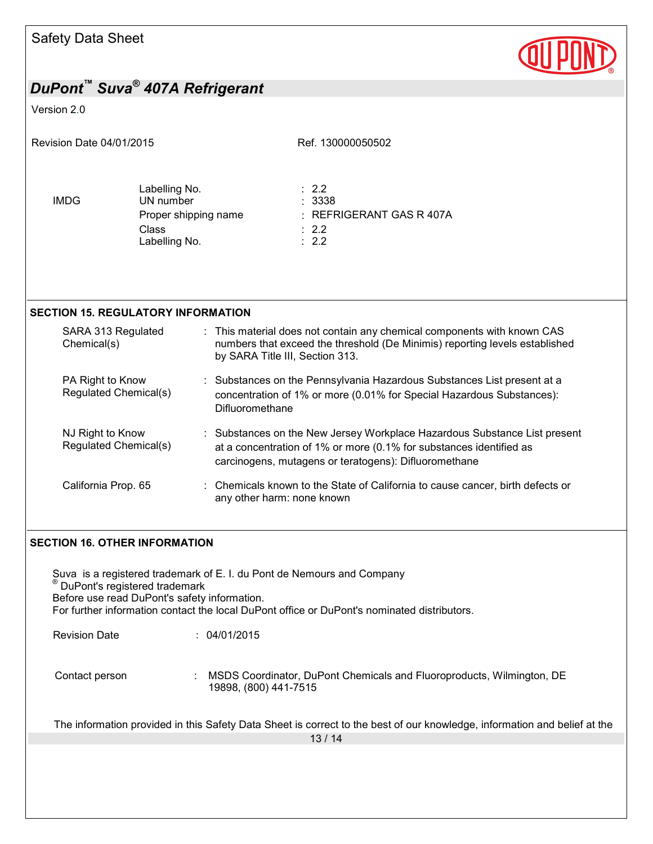

#### Version 2.0

| Revision Date 04/01/2015                  |                                                                                     |                                                                                                                                                                                                           | Ref. 130000050502                                                                                                                                      |
|-------------------------------------------|-------------------------------------------------------------------------------------|-----------------------------------------------------------------------------------------------------------------------------------------------------------------------------------------------------------|--------------------------------------------------------------------------------------------------------------------------------------------------------|
| <b>IMDG</b>                               | Labelling No.<br>UN number<br>Proper shipping name<br><b>Class</b><br>Labelling No. |                                                                                                                                                                                                           | $\therefore$ 2.2<br>: 3338<br>: REFRIGERANT GAS R 407A<br>$\therefore$ 2.2<br>$\therefore$ 2.2                                                         |
| <b>SECTION 15. REGULATORY INFORMATION</b> |                                                                                     |                                                                                                                                                                                                           |                                                                                                                                                        |
| Chemical(s)                               | SARA 313 Regulated                                                                  | by SARA Title III, Section 313.                                                                                                                                                                           | : This material does not contain any chemical components with known CAS<br>numbers that exceed the threshold (De Minimis) reporting levels established |
| PA Right to Know                          | Regulated Chemical(s)                                                               | : Substances on the Pennsylvania Hazardous Substances List present at a<br>concentration of 1% or more (0.01% for Special Hazardous Substances):<br>Difluoromethane                                       |                                                                                                                                                        |
| NJ Right to Know                          | Regulated Chemical(s)                                                               | : Substances on the New Jersey Workplace Hazardous Substance List present<br>at a concentration of 1% or more (0.1% for substances identified as<br>carcinogens, mutagens or teratogens): Difluoromethane |                                                                                                                                                        |
| California Prop. 65                       |                                                                                     | : Chemicals known to the State of California to cause cancer, birth defects or<br>any other harm: none known                                                                                              |                                                                                                                                                        |

### **SECTION 16. OTHER INFORMATION**

13 / 14 Suva is a registered trademark of E. I. du Pont de Nemours and Company ® DuPont's registered trademark Before use read DuPont's safety information. For further information contact the local DuPont office or DuPont's nominated distributors. Revision Date : 04/01/2015 Contact person : MSDS Coordinator, DuPont Chemicals and Fluoroproducts, Wilmington, DE 19898, (800) 441-7515 The information provided in this Safety Data Sheet is correct to the best of our knowledge, information and belief at the